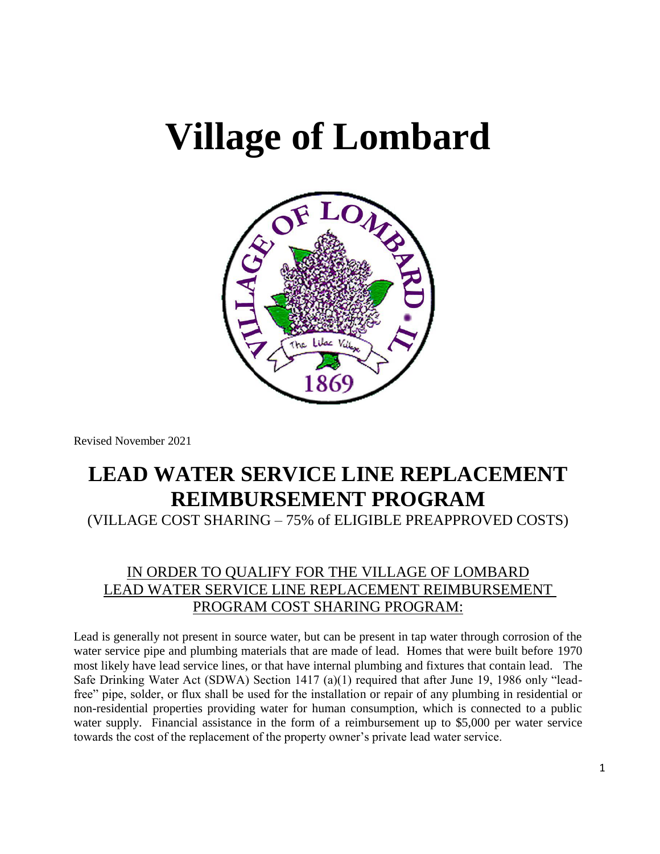# **Village of Lombard**



Revised November 2021

## **LEAD WATER SERVICE LINE REPLACEMENT REIMBURSEMENT PROGRAM**

(VILLAGE COST SHARING – 75% of ELIGIBLE PREAPPROVED COSTS)

### IN ORDER TO QUALIFY FOR THE VILLAGE OF LOMBARD LEAD WATER SERVICE LINE REPLACEMENT REIMBURSEMENT PROGRAM COST SHARING PROGRAM:

Lead is generally not present in source water, but can be present in tap water through corrosion of the water service pipe and plumbing materials that are made of lead. Homes that were built before 1970 most likely have lead service lines, or that have internal plumbing and fixtures that contain lead. The Safe Drinking Water Act (SDWA) Section 1417 (a)(1) required that after June 19, 1986 only "leadfree" pipe, solder, or flux shall be used for the installation or repair of any plumbing in residential or non-residential properties providing water for human consumption, which is connected to a public water supply. Financial assistance in the form of a reimbursement up to \$5,000 per water service towards the cost of the replacement of the property owner's private lead water service.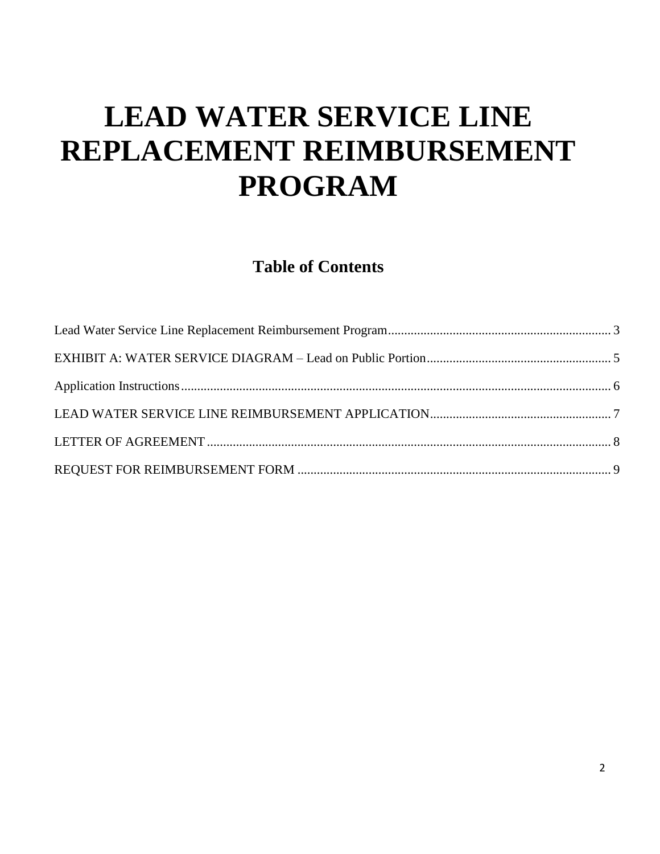# **LEAD WATER SERVICE LINE REPLACEMENT REIMBURSEMENT PROGRAM**

<span id="page-1-0"></span>**Table of Contents**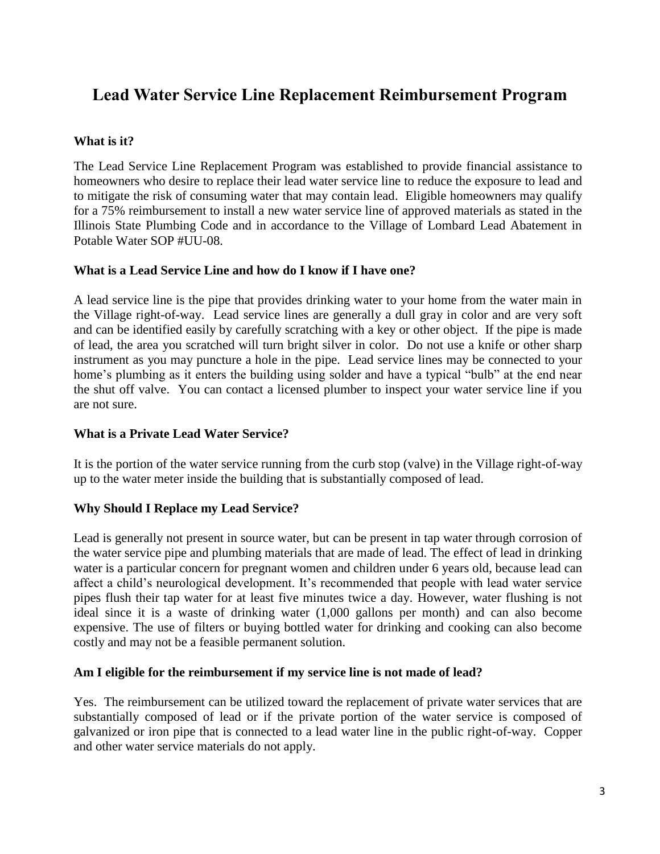### **Lead Water Service Line Replacement Reimbursement Program**

#### **What is it?**

The Lead Service Line Replacement Program was established to provide financial assistance to homeowners who desire to replace their lead water service line to reduce the exposure to lead and to mitigate the risk of consuming water that may contain lead. Eligible homeowners may qualify for a 75% reimbursement to install a new water service line of approved materials as stated in the Illinois State Plumbing Code and in accordance to the Village of Lombard Lead Abatement in Potable Water SOP #UU-08.

#### **What is a Lead Service Line and how do I know if I have one?**

A lead service line is the pipe that provides drinking water to your home from the water main in the Village right-of-way. Lead service lines are generally a dull gray in color and are very soft and can be identified easily by carefully scratching with a key or other object. If the pipe is made of lead, the area you scratched will turn bright silver in color. Do not use a knife or other sharp instrument as you may puncture a hole in the pipe. Lead service lines may be connected to your home's plumbing as it enters the building using solder and have a typical "bulb" at the end near the shut off valve. You can contact a licensed plumber to inspect your water service line if you are not sure.

#### **What is a Private Lead Water Service?**

It is the portion of the water service running from the curb stop (valve) in the Village right-of-way up to the water meter inside the building that is substantially composed of lead.

#### **Why Should I Replace my Lead Service?**

Lead is generally not present in source water, but can be present in tap water through corrosion of the water service pipe and plumbing materials that are made of lead. The effect of lead in drinking water is a particular concern for pregnant women and children under 6 years old, because lead can affect a child's neurological development. It's recommended that people with lead water service pipes flush their tap water for at least five minutes twice a day. However, water flushing is not ideal since it is a waste of drinking water (1,000 gallons per month) and can also become expensive. The use of filters or buying bottled water for drinking and cooking can also become costly and may not be a feasible permanent solution.

#### **Am I eligible for the reimbursement if my service line is not made of lead?**

Yes. The reimbursement can be utilized toward the replacement of private water services that are substantially composed of lead or if the private portion of the water service is composed of galvanized or iron pipe that is connected to a lead water line in the public right-of-way. Copper and other water service materials do not apply.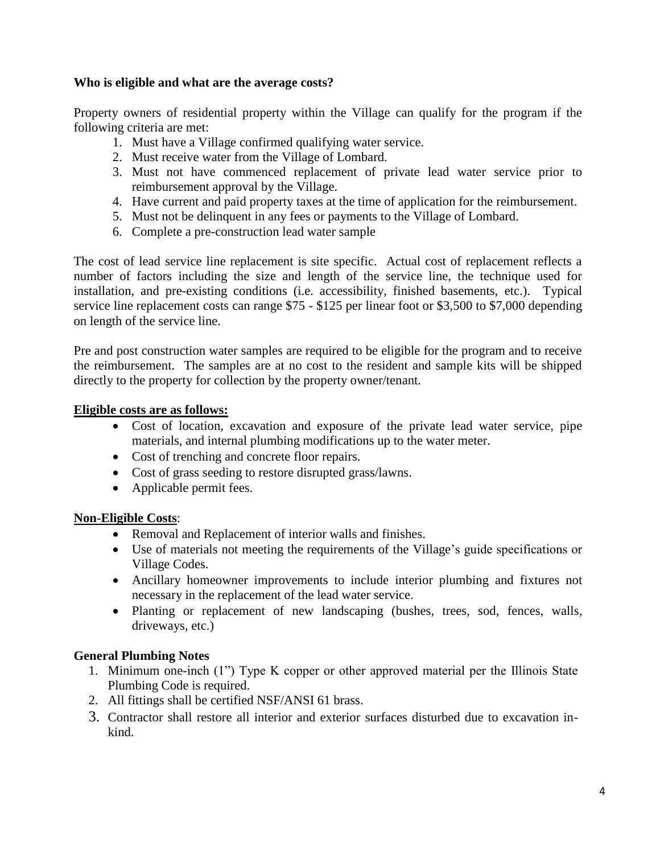#### **Who is eligible and what are the average costs?**

Property owners of residential property within the Village can qualify for the program if the following criteria are met:

- 1. Must have a Village confirmed qualifying water service.
- 2. Must receive water from the Village of Lombard.
- 3. Must not have commenced replacement of private lead water service prior to reimbursement approval by the Village.
- 4. Have current and paid property taxes at the time of application for the reimbursement.
- 5. Must not be delinquent in any fees or payments to the Village of Lombard.
- 6. Complete a pre-construction lead water sample

The cost of lead service line replacement is site specific. Actual cost of replacement reflects a number of factors including the size and length of the service line, the technique used for installation, and pre-existing conditions (i.e. accessibility, finished basements, etc.). Typical service line replacement costs can range \$75 - \$125 per linear foot or \$3,500 to \$7,000 depending on length of the service line.

Pre and post construction water samples are required to be eligible for the program and to receive the reimbursement. The samples are at no cost to the resident and sample kits will be shipped directly to the property for collection by the property owner/tenant.

#### **Eligible costs are as follows:**

- Cost of location, excavation and exposure of the private lead water service, pipe materials, and internal plumbing modifications up to the water meter.
- Cost of trenching and concrete floor repairs.
- Cost of grass seeding to restore disrupted grass/lawns.
- Applicable permit fees.

#### **Non-Eligible Costs**:

- Removal and Replacement of interior walls and finishes.
- Use of materials not meeting the requirements of the Village's guide specifications or Village Codes.
- Ancillary homeowner improvements to include interior plumbing and fixtures not necessary in the replacement of the lead water service.
- Planting or replacement of new landscaping (bushes, trees, sod, fences, walls, driveways, etc.)

#### **General Plumbing Notes**

- 1. Minimum one-inch (1") Type K copper or other approved material per the Illinois State Plumbing Code is required.
- 2. All fittings shall be certified NSF/ANSI 61 brass.
- 3. Contractor shall restore all interior and exterior surfaces disturbed due to excavation inkind.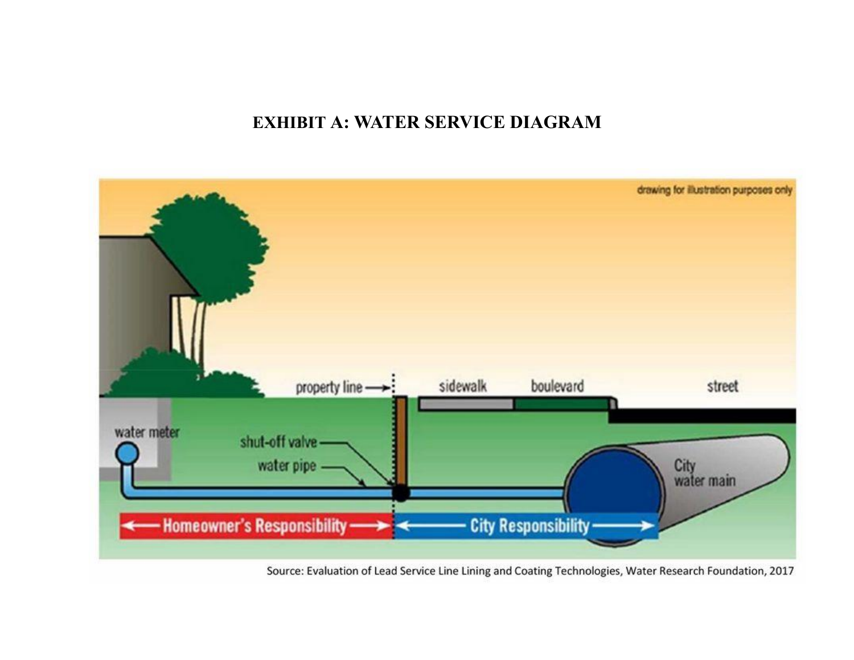### **EXHIBIT A: WATER SERVICE DIAGRAM**

<span id="page-4-0"></span>

Source: Evaluation of Lead Service Line Lining and Coating Technologies, Water Research Foundation, 2017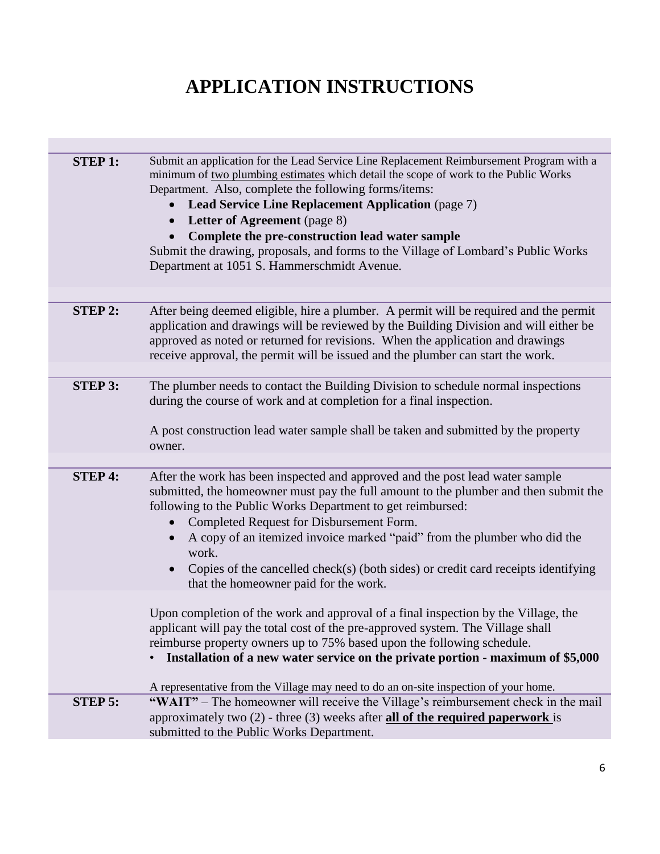# **APPLICATION INSTRUCTIONS**

| <b>STEP 1:</b> | Submit an application for the Lead Service Line Replacement Reimbursement Program with a<br>minimum of two plumbing estimates which detail the scope of work to the Public Works<br>Department. Also, complete the following forms/items:<br><b>Lead Service Line Replacement Application (page 7)</b><br>$\bullet$<br><b>Letter of Agreement</b> (page 8)<br>$\bullet$<br>Complete the pre-construction lead water sample<br>Submit the drawing, proposals, and forms to the Village of Lombard's Public Works<br>Department at 1051 S. Hammerschmidt Avenue. |
|----------------|----------------------------------------------------------------------------------------------------------------------------------------------------------------------------------------------------------------------------------------------------------------------------------------------------------------------------------------------------------------------------------------------------------------------------------------------------------------------------------------------------------------------------------------------------------------|
|                |                                                                                                                                                                                                                                                                                                                                                                                                                                                                                                                                                                |
| <b>STEP 2:</b> | After being deemed eligible, hire a plumber. A permit will be required and the permit<br>application and drawings will be reviewed by the Building Division and will either be<br>approved as noted or returned for revisions. When the application and drawings<br>receive approval, the permit will be issued and the plumber can start the work.                                                                                                                                                                                                            |
|                |                                                                                                                                                                                                                                                                                                                                                                                                                                                                                                                                                                |
| <b>STEP 3:</b> | The plumber needs to contact the Building Division to schedule normal inspections<br>during the course of work and at completion for a final inspection.<br>A post construction lead water sample shall be taken and submitted by the property<br>owner.                                                                                                                                                                                                                                                                                                       |
|                |                                                                                                                                                                                                                                                                                                                                                                                                                                                                                                                                                                |
| <b>STEP 4:</b> | After the work has been inspected and approved and the post lead water sample<br>submitted, the homeowner must pay the full amount to the plumber and then submit the<br>following to the Public Works Department to get reimbursed:<br>Completed Request for Disbursement Form.<br>$\bullet$<br>A copy of an itemized invoice marked "paid" from the plumber who did the<br>$\bullet$<br>work.<br>Copies of the cancelled check(s) (both sides) or credit card receipts identifying<br>that the homeowner paid for the work.                                  |
|                | Upon completion of the work and approval of a final inspection by the Village, the<br>applicant will pay the total cost of the pre-approved system. The Village shall<br>reimburse property owners up to 75% based upon the following schedule.<br>Installation of a new water service on the private portion - maximum of \$5,000<br>A representative from the Village may need to do an on-site inspection of your home.                                                                                                                                     |
| <b>STEP 5:</b> | "WAIT" – The homeowner will receive the Village's reimbursement check in the mail<br>approximately two $(2)$ - three $(3)$ weeks after <b>all of the required paperwork</b> is<br>submitted to the Public Works Department.                                                                                                                                                                                                                                                                                                                                    |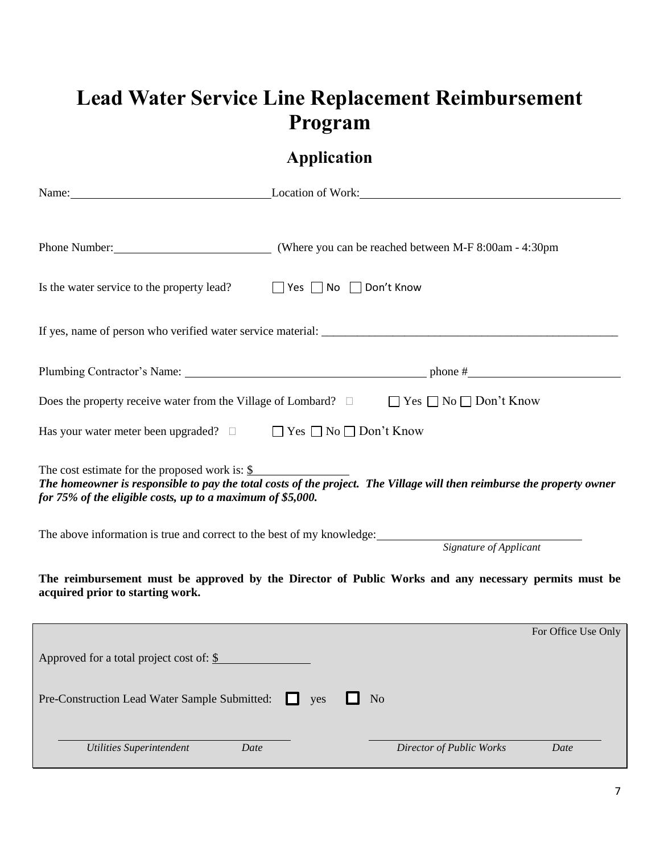# **Lead Water Service Line Replacement Reimbursement Program**

## **Application**

<span id="page-6-0"></span>

|                                                                                                                                                                                                                                                   | Name: Location of Work:                                                                                                     |  |  |  |  |
|---------------------------------------------------------------------------------------------------------------------------------------------------------------------------------------------------------------------------------------------------|-----------------------------------------------------------------------------------------------------------------------------|--|--|--|--|
|                                                                                                                                                                                                                                                   |                                                                                                                             |  |  |  |  |
|                                                                                                                                                                                                                                                   |                                                                                                                             |  |  |  |  |
| Is the water service to the property lead?                                                                                                                                                                                                        | $\Box$ Yes $\Box$ No $\Box$ Don't Know                                                                                      |  |  |  |  |
|                                                                                                                                                                                                                                                   |                                                                                                                             |  |  |  |  |
|                                                                                                                                                                                                                                                   |                                                                                                                             |  |  |  |  |
|                                                                                                                                                                                                                                                   | Does the property receive water from the Village of Lombard? $\square$ $\blacksquare$ Yes $\square$ No $\square$ Don't Know |  |  |  |  |
| Has your water meter been upgraded? $\Box$                                                                                                                                                                                                        | $\Box$ Yes $\Box$ No $\Box$ Don't Know                                                                                      |  |  |  |  |
| The cost estimate for the proposed work is: $\frac{1}{2}$<br>The homeowner is responsible to pay the total costs of the project. The Village will then reimburse the property owner<br>for 75% of the eligible costs, up to a maximum of \$5,000. |                                                                                                                             |  |  |  |  |
|                                                                                                                                                                                                                                                   | The above information is true and correct to the best of my knowledge:<br>Signature of Applicant                            |  |  |  |  |
| The reimbursement must be approved by the Director of Public Works and any necessary permits must be<br>acquired prior to starting work.                                                                                                          |                                                                                                                             |  |  |  |  |
|                                                                                                                                                                                                                                                   | For Office Use Only                                                                                                         |  |  |  |  |
| Approved for a total project cost of: \$                                                                                                                                                                                                          |                                                                                                                             |  |  |  |  |
| Pre-Construction Lead Water Sample Submitted:                                                                                                                                                                                                     | No<br>. .<br>yes                                                                                                            |  |  |  |  |
| <b>Utilities Superintendent</b><br>Date                                                                                                                                                                                                           | Director of Public Works<br>Date                                                                                            |  |  |  |  |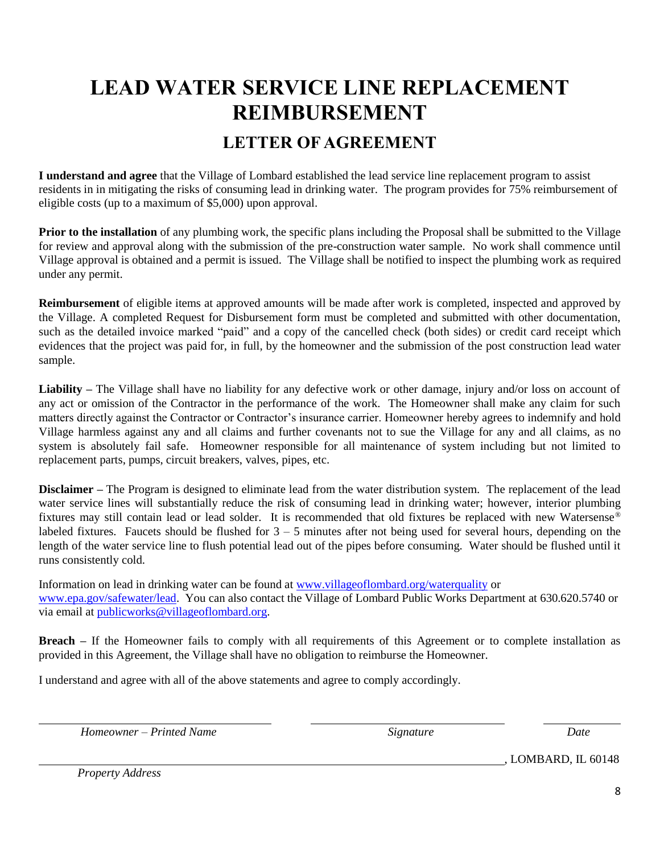# <span id="page-7-0"></span>**LEAD WATER SERVICE LINE REPLACEMENT REIMBURSEMENT**

### **LETTER OF AGREEMENT**

<span id="page-7-1"></span>**I understand and agree** that the Village of Lombard established the lead service line replacement program to assist residents in in mitigating the risks of consuming lead in drinking water. The program provides for 75% reimbursement of eligible costs (up to a maximum of \$5,000) upon approval.

**Prior to the installation** of any plumbing work, the specific plans including the Proposal shall be submitted to the Village for review and approval along with the submission of the pre-construction water sample. No work shall commence until Village approval is obtained and a permit is issued. The Village shall be notified to inspect the plumbing work as required under any permit.

**Reimbursement** of eligible items at approved amounts will be made after work is completed, inspected and approved by the Village. A completed Request for Disbursement form must be completed and submitted with other documentation, such as the detailed invoice marked "paid" and a copy of the cancelled check (both sides) or credit card receipt which evidences that the project was paid for, in full, by the homeowner and the submission of the post construction lead water sample.

Liability – The Village shall have no liability for any defective work or other damage, injury and/or loss on account of any act or omission of the Contractor in the performance of the work. The Homeowner shall make any claim for such matters directly against the Contractor or Contractor's insurance carrier. Homeowner hereby agrees to indemnify and hold Village harmless against any and all claims and further covenants not to sue the Village for any and all claims, as no system is absolutely fail safe. Homeowner responsible for all maintenance of system including but not limited to replacement parts, pumps, circuit breakers, valves, pipes, etc.

**Disclaimer –** The Program is designed to eliminate lead from the water distribution system. The replacement of the lead water service lines will substantially reduce the risk of consuming lead in drinking water; however, interior plumbing fixtures may still contain lead or lead solder. It is recommended that old fixtures be replaced with new Watersense® labeled fixtures. Faucets should be flushed for  $3 - 5$  minutes after not being used for several hours, depending on the length of the water service line to flush potential lead out of the pipes before consuming. Water should be flushed until it runs consistently cold.

Information on lead in drinking water can be found at [www.villageoflombard.org/waterquality](http://www.villageoflombard.org/waterquality) or [www.epa.gov/safewater/lead.](http://www.epa.gov/safewater/lead) You can also contact the Village of Lombard Public Works Department at 630.620.5740 or via email at [publicworks@villageoflombard.org.](mailto:publicworks@villageoflombard.org)

**Breach –** If the Homeowner fails to comply with all requirements of this Agreement or to complete installation as provided in this Agreement, the Village shall have no obligation to reimburse the Homeowner.

I understand and agree with all of the above statements and agree to comply accordingly.

*Homeowner – Printed Name*  $\qquad \qquad$  Signature Signature Date

, LOMBARD, IL 60148

*Property Address*